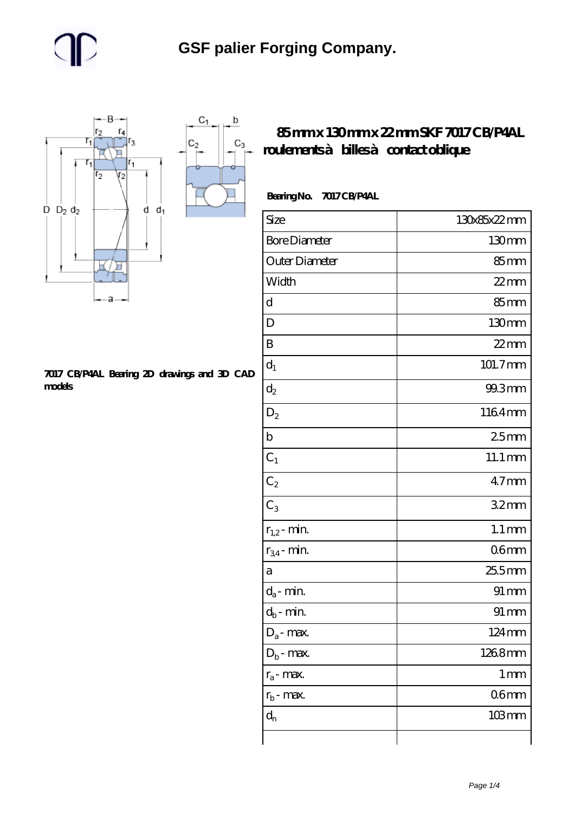$\mathbf b$ 

ó

 $C_3$ 



#### **[7017 CB/P4AL Bearing 2D drawings and 3D CAD](https://umven.com/pic-74382.html) [models](https://umven.com/pic-74382.html)**

### **[85 mm x 130 mm x 22 mm SKF 7017 CB/P4AL](https://umven.com/ar-74382-skf-7017-cb-p4al-roulements-billes-contact-oblique.html) [roulements à billes à contact oblique](https://umven.com/ar-74382-skf-7017-cb-p4al-roulements-billes-contact-oblique.html)**

#### **Bearing No. 7017 CB/P4AL**

| Size                       | 130x85x22mm         |
|----------------------------|---------------------|
| <b>Bore Diameter</b>       | 130 <sub>mm</sub>   |
| Outer Diameter             | 85 <sub>mm</sub>    |
| Width                      | $22$ mm             |
| d                          | 85 <sub>mm</sub>    |
| D                          | 130mm               |
| B                          | $22$ mm             |
| $d_1$                      | 101.7mm             |
| $\mathrm{d}_2$             | 99.3mm              |
| $D_2$                      | 1164mm              |
| $\mathbf b$                | 25mm                |
| $C_1$                      | $11.1 \text{mm}$    |
| $C_2$                      | $47$ mm             |
| $C_3$                      | 32mm                |
| $r_{1,2}$ - min.           | $1.1 \,\mathrm{mm}$ |
| $r_{34}$ - min.            | 06 <sub>mm</sub>    |
| а                          | 255mm               |
| $d_a$ - min.               | $91 \, \text{mm}$   |
| $d_b\operatorname{-} \min$ | $91 \, \text{mm}$   |
| $D_a$ - max.               | 124mm               |
| $D_b$ - max.               | 1268mm              |
| $r_a$ - max.               | $1 \,\mathrm{mm}$   |
| $r_{b}$ - max.             | 06 <sub>mm</sub>    |
| $d_{n}$                    | $103$ mm            |
|                            |                     |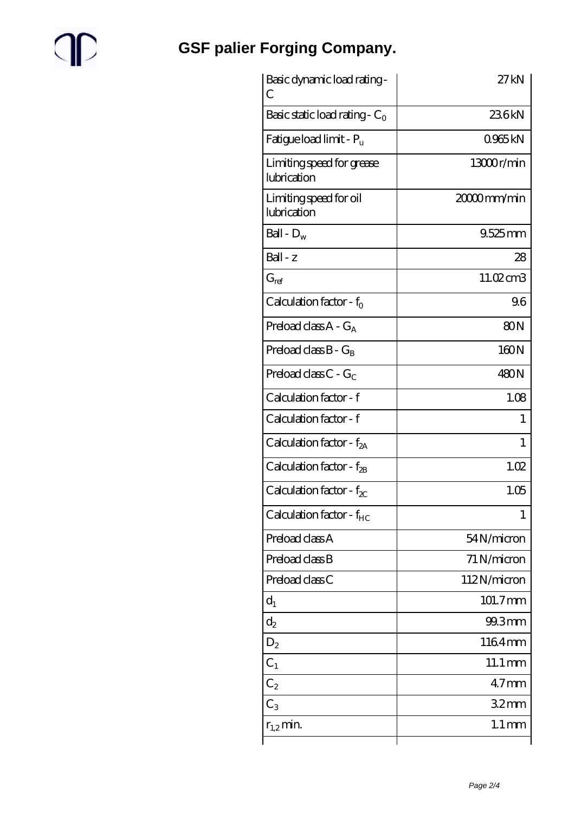# $\mathbb{P}$

## **[GSF palier Forging Company.](https://umven.com)**

| Basic dynamic load rating -<br>C         | 27kN                 |
|------------------------------------------|----------------------|
| Basic static load rating - $C_0$         | 236kN                |
| Fatigue load limit - $P_{\rm u}$         | 0965kN               |
| Limiting speed for grease<br>lubrication | 13000r/min           |
| Limiting speed for oil<br>lubrication    | $2000$ mm/min        |
| Ball - $D_w$                             | 9.525mm              |
| $Ball - z$                               | 28                   |
| $G_{ref}$                                | 11.02cm3             |
| Calculation factor - $f_0$               | 96                   |
| Preload class $A - G_A$                  | 80 <sub>N</sub>      |
| Preload class $B - G_R$                  | 160N                 |
| Preload class $C - G_C$                  | 480N                 |
| Calculation factor - f                   | 1.08                 |
| Calculation factor - f                   | 1                    |
| Calculation factor - f <sub>2A</sub>     | 1                    |
| Calculation factor - $f_{2B}$            | 1.02                 |
| Calculation factor - $f_{\chi}$          | 1.05                 |
| Calculation factor - $f_{HC}$            | 1                    |
| Preload class A                          | 54N/micron           |
| Preload class B                          | 71 N/micron          |
| Preload class C                          | 112N/micron          |
| $d_1$                                    | 101.7mm              |
| $d_2$                                    | 99.3mm               |
| $D_2$                                    | 1164mm               |
| $C_1$                                    | $11.1 \,\mathrm{mm}$ |
| $C_2$                                    | 47 <sub>mm</sub>     |
| $C_3$                                    | 32 <sub>mm</sub>     |
| $r_{1,2}$ min.                           | $1.1 \,\mathrm{mm}$  |
|                                          |                      |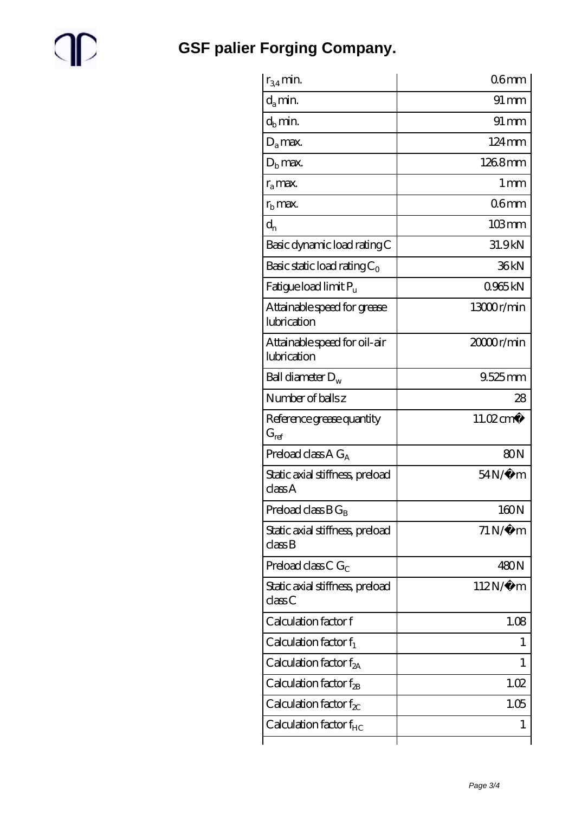## $\mathbb{P}$

**[GSF palier Forging Company.](https://umven.com)**

| $r_{34}$ min.                               | 06 <sub>mm</sub>      |
|---------------------------------------------|-----------------------|
| $d_a$ min.                                  | $91 \,\mathrm{mm}$    |
| $d_b$ min.                                  | $91 \, \mathrm{mm}$   |
| $D_a$ max.                                  | $124 \,\mathrm{mm}$   |
| $Db$ max.                                   | 1268mm                |
| $r_a$ max.                                  | $1 \,\mathrm{mm}$     |
| $r_{\rm b}$ max.                            | 06 <sub>mm</sub>      |
| $d_{n}$                                     | $103 \,\mathrm{mm}$   |
| Basic dynamic load rating C                 | 31.9kN                |
| Basic static load rating $C_0$              | 36kN                  |
| Fatigue load limit $P_u$                    | 0965kN                |
| Attainable speed for grease<br>lubrication  | 13000r/min            |
| Attainable speed for oil-air<br>lubrication | 2000r/min             |
| Ball diameter $D_w$                         | $9.525$ mm            |
| Number of balls z                           | 28                    |
| Reference grease quantity<br>$G_{ref}$      | 11.02 cm <sup>3</sup> |
| Preload class $A G_A$                       | 80N                   |
| Static axial stiffness, preload<br>classA   | $54N/\mu$ m           |
| Preload class $BG_B$                        | 160N                  |
| Static axial stiffness, preload<br>class B  | $71\,\mathrm{N}\mu$ m |
| Preload class C $G_C$                       | 480N                  |
| Static axial stiffness, preload<br>classC   | $112N/\mu$ m          |
| Calculation factor f                        | 1.08                  |
| Calculation factor $f_1$                    | 1                     |
| Calculation factor $f_{2A}$                 | 1                     |
| Calculation factor $f_{2B}$                 | 1.02                  |
| Calculation factor $f_{\chi}$               | 1.05                  |
| Calculation factor $f_{HC}$                 | 1                     |
|                                             |                       |